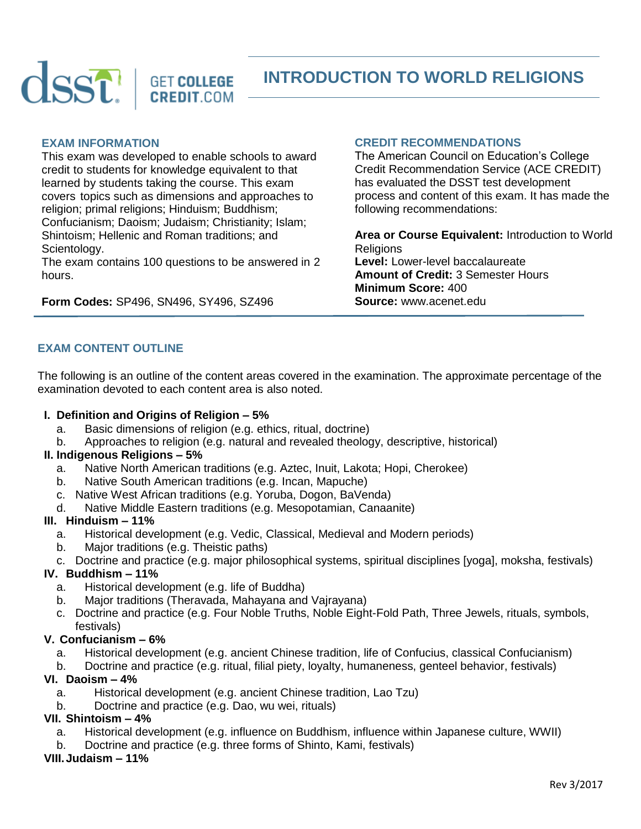

**INTRODUCTION TO WORLD RELIGIONS**

#### **EXAM INFORMATION**

This exam was developed to enable schools to award credit to students for knowledge equivalent to that learned by students taking the course. This exam covers topics such as dimensions and approaches to religion; primal religions; Hinduism; Buddhism; Confucianism; Daoism; Judaism; Christianity; Islam; Shintoism; Hellenic and Roman traditions; and Scientology.

The exam contains 100 questions to be answered in 2 hours.

**Form Codes:** SP496, SN496, SY496, SZ496

### **CREDIT RECOMMENDATIONS**

The American Council on Education's College Credit Recommendation Service (ACE CREDIT) has evaluated the DSST test development process and content of this exam. It has made the following recommendations:

**Area or Course Equivalent:** Introduction to World **Religions Level:** Lower-level baccalaureate **Amount of Credit:** 3 Semester Hours **Minimum Score:** 400 **Source:** www.acenet.edu

# **EXAM CONTENT OUTLINE**

The following is an outline of the content areas covered in the examination. The approximate percentage of the examination devoted to each content area is also noted.

### **I. Definition and Origins of Religion – 5%**

- a. Basic dimensions of religion (e.g. ethics, ritual, doctrine)
- b. Approaches to religion (e.g. natural and revealed theology, descriptive, historical)

### **II. Indigenous Religions – 5%**

- a. Native North American traditions (e.g. Aztec, Inuit, Lakota; Hopi, Cherokee)
- b. Native South American traditions (e.g. Incan, Mapuche)
- c. Native West African traditions (e.g. Yoruba, Dogon, BaVenda)
- d. Native Middle Eastern traditions (e.g. Mesopotamian, Canaanite)

## **III. Hinduism – 11%**

- a. Historical development (e.g. Vedic, Classical, Medieval and Modern periods)
- b. Major traditions (e.g. Theistic paths)
- c. Doctrine and practice (e.g. major philosophical systems, spiritual disciplines [yoga], moksha, festivals)

## **IV. Buddhism – 11%**

- a. Historical development (e.g. life of Buddha)
- b. Major traditions (Theravada, Mahayana and Vajrayana)
- c. Doctrine and practice (e.g. Four Noble Truths, Noble Eight-Fold Path, Three Jewels, rituals, symbols, festivals)

## **V. Confucianism – 6%**

- a. Historical development (e.g. ancient Chinese tradition, life of Confucius, classical Confucianism)
- b. Doctrine and practice (e.g. ritual, filial piety, loyalty, humaneness, genteel behavior, festivals)

## **VI. Daoism – 4%**

- a. Historical development (e.g. ancient Chinese tradition, Lao Tzu)
- b. Doctrine and practice (e.g. Dao, wu wei, rituals)

## **VII. Shintoism – 4%**

- a. Historical development (e.g. influence on Buddhism, influence within Japanese culture, WWII)
- b. Doctrine and practice (e.g. three forms of Shinto, Kami, festivals)

#### **VIII.Judaism – 11%**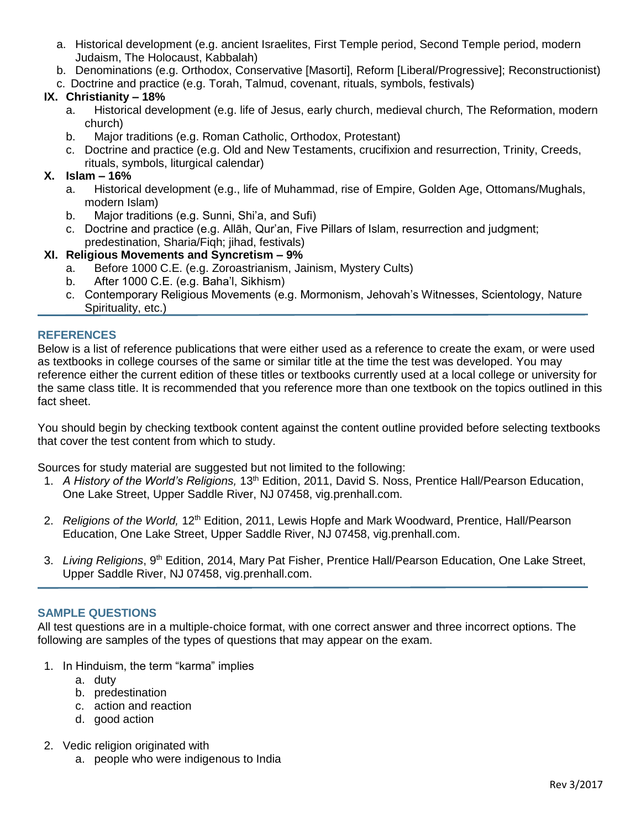- a. Historical development (e.g. ancient Israelites, First Temple period, Second Temple period, modern Judaism, The Holocaust, Kabbalah)
- b. Denominations (e.g. Orthodox, Conservative [Masorti], Reform [Liberal/Progressive]; Reconstructionist)
- c. Doctrine and practice (e.g. Torah, Talmud, covenant, rituals, symbols, festivals)

# **IX. Christianity – 18%**

- a. Historical development (e.g. life of Jesus, early church, medieval church, The Reformation, modern church)
- b. Major traditions (e.g. Roman Catholic, Orthodox, Protestant)
- c. Doctrine and practice (e.g. Old and New Testaments, crucifixion and resurrection, Trinity, Creeds, rituals, symbols, liturgical calendar)

# **X. Islam – 16%**

- a. Historical development (e.g., life of Muhammad, rise of Empire, Golden Age, Ottomans/Mughals, modern Islam)
- b. Major traditions (e.g. Sunni, Shi'a, and Sufi)
- c. Doctrine and practice (e.g. Allāh, Qur'an, Five Pillars of Islam, resurrection and judgment; predestination, Sharia/Fiqh; jihad, festivals)

# **XI. Religious Movements and Syncretism – 9%**

- a. Before 1000 C.E. (e.g. Zoroastrianism, Jainism, Mystery Cults)
- b. After 1000 C.E. (e.g. Baha'l, Sikhism)
- c. Contemporary Religious Movements (e.g. Mormonism, Jehovah's Witnesses, Scientology, Nature Spirituality, etc.)

## **REFERENCES**

Below is a list of reference publications that were either used as a reference to create the exam, or were used as textbooks in college courses of the same or similar title at the time the test was developed. You may reference either the current edition of these titles or textbooks currently used at a local college or university for the same class title. It is recommended that you reference more than one textbook on the topics outlined in this fact sheet.

You should begin by checking textbook content against the content outline provided before selecting textbooks that cover the test content from which to study.

Sources for study material are suggested but not limited to the following:

- 1. *A History of the World's Religions,* 13th Edition, 2011, David S. Noss, Prentice Hall/Pearson Education, One Lake Street, Upper Saddle River, NJ 07458, vig.prenhall.com.
- 2. *Religions of the World,* 12th Edition, 2011, Lewis Hopfe and Mark Woodward, Prentice, Hall/Pearson Education, One Lake Street, Upper Saddle River, NJ 07458, vig.prenhall.com.
- 3. *Living Religions*, 9<sup>th</sup> Edition, 2014, Mary Pat Fisher, Prentice Hall/Pearson Education, One Lake Street, Upper Saddle River, NJ 07458, vig.prenhall.com.

## **SAMPLE QUESTIONS**

All test questions are in a multiple-choice format, with one correct answer and three incorrect options. The following are samples of the types of questions that may appear on the exam.

- 1. In Hinduism, the term "karma" implies
	- a. duty
	- b. predestination
	- c. action and reaction
	- d. good action
- 2. Vedic religion originated with
	- a. people who were indigenous to India